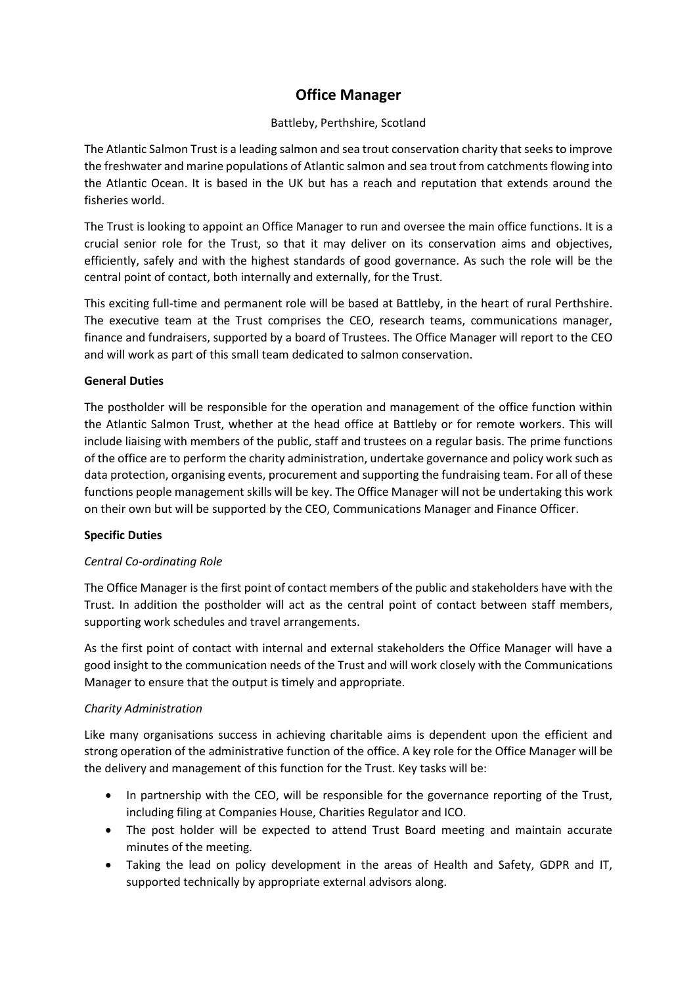# **Office Manager**

## Battleby, Perthshire, Scotland

The Atlantic Salmon Trust is a leading salmon and sea trout conservation charity that seeks to improve the freshwater and marine populations of Atlantic salmon and sea trout from catchments flowing into the Atlantic Ocean. It is based in the UK but has a reach and reputation that extends around the fisheries world.

The Trust is looking to appoint an Office Manager to run and oversee the main office functions. It is a crucial senior role for the Trust, so that it may deliver on its conservation aims and objectives, efficiently, safely and with the highest standards of good governance. As such the role will be the central point of contact, both internally and externally, for the Trust.

This exciting full-time and permanent role will be based at Battleby, in the heart of rural Perthshire. The executive team at the Trust comprises the CEO, research teams, communications manager, finance and fundraisers, supported by a board of Trustees. The Office Manager will report to the CEO and will work as part of this small team dedicated to salmon conservation.

## **General Duties**

The postholder will be responsible for the operation and management of the office function within the Atlantic Salmon Trust, whether at the head office at Battleby or for remote workers. This will include liaising with members of the public, staff and trustees on a regular basis. The prime functions of the office are to perform the charity administration, undertake governance and policy work such as data protection, organising events, procurement and supporting the fundraising team. For all of these functions people management skills will be key. The Office Manager will not be undertaking this work on their own but will be supported by the CEO, Communications Manager and Finance Officer.

## **Specific Duties**

## *Central Co-ordinating Role*

The Office Manager is the first point of contact members of the public and stakeholders have with the Trust. In addition the postholder will act as the central point of contact between staff members, supporting work schedules and travel arrangements.

As the first point of contact with internal and external stakeholders the Office Manager will have a good insight to the communication needs of the Trust and will work closely with the Communications Manager to ensure that the output is timely and appropriate.

## *Charity Administration*

Like many organisations success in achieving charitable aims is dependent upon the efficient and strong operation of the administrative function of the office. A key role for the Office Manager will be the delivery and management of this function for the Trust. Key tasks will be:

- In partnership with the CEO, will be responsible for the governance reporting of the Trust, including filing at Companies House, Charities Regulator and ICO.
- The post holder will be expected to attend Trust Board meeting and maintain accurate minutes of the meeting.
- Taking the lead on policy development in the areas of Health and Safety, GDPR and IT, supported technically by appropriate external advisors along.